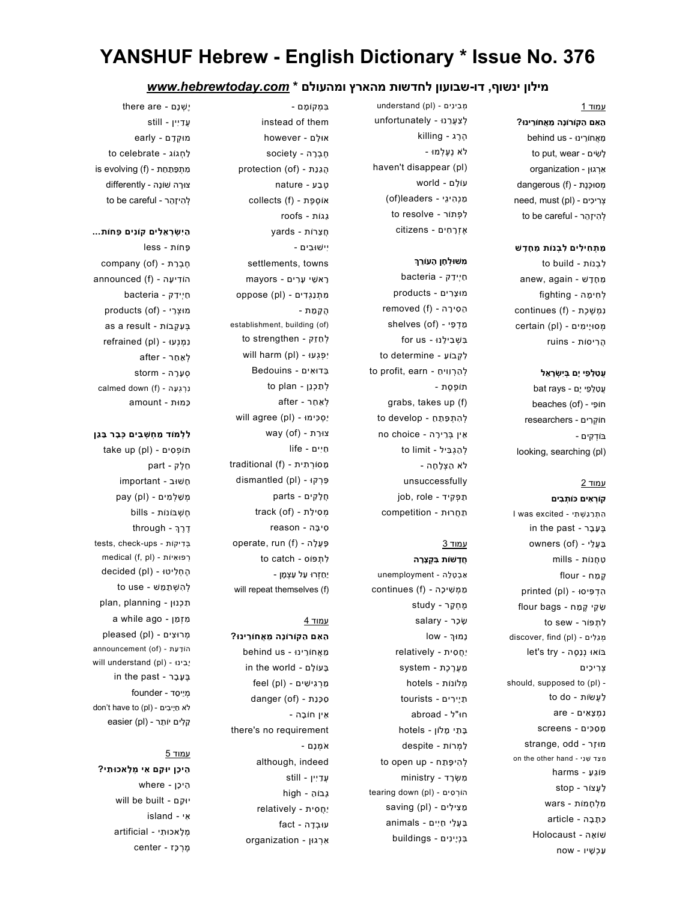# YANSHUF Hebrew - English Dictionary \* Issue No. 376

### מילון ינשוף, דו- שבועון לחדשות מהארץ ומהעולם \* com.hebrewtoday.www

#### עמוד 1

ַה ִאם ַהקוֹרוָֹנה ֵמ ֲאחוֵֹרינוּ? ֵמ ֲאחוֵֹרינוּ - us behind to put, wear - שׂיםִ לָ ִאְרגוּן - organization מסוּכֶּנֶת - (dangerous (f need, must (pl) - צְרִיכִים to be careful - להיזהר

#### ַמ ְת ִחי ִלים ִל ְבנוֹת ֵמ ָח ָדשׁ

ִל ְבנוֹת - build to anew, again - מַחֲדָשׁ ְל ִחי ָמה - fighting נמשכת - (continues (f מְסוּיָימִים - (certain (pl ֲה ִריסוֹת - ruins

#### עטלפי יַם בּיִשׂרָאַל

ָעֲטַלֵפֵי יָם - bat rays heaches (of) - חוֹפֵי חוֹ ְקִרים - researchers בּוֹדְקים looking, searching (pl)

### עמוד 2

קוְֹר ִאים כּוֹ ְת ִבים ִה ְת ַר ַג ְשׁ ִתי - excited was I in the past - בֵעֲבָר ַבּ ֲע ֵלי - (of (owners ַט ֲחנוֹת - mills ֶק ַמח - flour הְדִפִּיסוּ - (printed (pl ַשׂ ֵקי ֶק ַמח - bags flour לתפּוֹר - to sew מִגְלִים - (discover, find (pl ווּ נְנַסֶה - let's try ְצ ִרי ִכים should, supposed to (pl) to do - לַעֲשׂוֹת ִנ ְמ ָצ ִאים - are ָמ ַס ִכּים - screens מוּ זר - strange, odd on the other hand - מְצָד שֶׁנִי פּוֹ ֵג ַע - harms ַל ֲעצוֹר - stop ִמ ְל ָחמוֹת - wars ַכּ ָת ָבה - article שׁוֹ ָאה - Holocaust ַע ְכ ָשׁיו - now

ְל ַצ ֲע ֵרנוּ - unfortunately ֶהֶרג - killing לֹא ֶנ ֶע ְלמוּ haven't disappear (pl) עוֹ ָלם - world ַמ ְנ ִהי ֵגי - leaders)of ( לפתוֹר - to resolve ֶא ְזָר ִחים - citizens

מְבִינִים - (understand (pl

### ְמִשׁוּלְחָן הָעוֹרֵךְ

ַח ְיי ַדק - bacteria מוּ ָצ ִרים - products removed (f) - הֵסִירָה מַדְפִי - (shelves (of ִבּ ְשׁ ִבי ֵלנוּ - us for to determine - לְקְבוֹעַ to profit, earn - לְהַרְוויחַ תוֹ ֶפ ֶסת grabs, takes up (f) להתפתח - to develop ֵאין ְבֵּרי ָרה - choice no to limit - לְהַגְבִּיל לֹא ַה ְצ ָל ָחה unsuccessfully iob, role - תפקיד ַת ֲחרוּת - competition

# עמוד 3

ֲחָדשׁוֹת ִבּ ְק ָצָרה ַא ְב ָט ָלה - unemployment ַמ ְמ ִשׁי ָכה - (f (continues ֶמ ְח ָקר - study ָשׂ ָכר - salary נָמוּ˂ - low יַ ֲח ִסית - relatively ַמ ֲע ֶר ֶכת - system ְמלוֹנוֹת - hotels ַתיָי ִרים - tourists חוּ"ל - abroad ָבּ ֵתי ָמלוֹן - hotels ַל ְמרוֹת - despite ְל ִהי ָפּ ַתח - up open to ִמ ְשָׂרד - ministry hin (pl) - הוֹרְסִים -מֵצִילִים - (saving (pl ַבּ ֲע ֵלי ַח ִיים - animals ִבּ ְניָי ִנים - buildings

ִבּ ְמקוֹ ָמם instead of them אוּ ָלם - however ֶח ְבָרה - society protection (of) - הֲגַנַת ֶט ַבע - nature collects (f) - אוֹסֵפֶת ַגגוֹת - roofs ֲח ֵצרוֹת - yards ִיישׁוּ ִבים settlements, towns ָרא ֵשׁי ָע ִרים - mayors ִמ ְת ַנ ְג ִדים - (pl (oppose ֲה ָק ַמת establishment, building (of) to strengthen - לְחַזֵק יִפְגְעוּ - (will harm (pl ֵבּדוּ ִאים - Bedouins ְל ַת ְכנֵן - plan to ְל ַא ַחר - after יַסְכִימוּ - (will agree (pl way (of) - צוּרַת ַח ִיים - life  $traditional (f) - n$ מְסוֹרְתִית ֵפּ ְרקוּ - (pl (dismantled ֲח ָל ִקים - parts מְסִילַת - (track (of ִסי ָבּה - reason operate, run (f) - פּעֲלָה to catch - ci יַ ַח ְזרוּ ַעל ַע ְצ ָמן will repeat themselves (f)

### עמוד 4

ַה ִאם ַהקוֹרוֹ ָנה ֵמ ֲאחוֵֹרינוּ? ֵמ ֲאחוֵֹרינוּ - us behind in the world - בּעוֹלָם ַמ ְר ִגי ִשׁים - (pl (feel danger (of) - סְכָנַת ֵאין חוֹ ָבה there's no requirement ֹא ְמ ָנם although, indeed ֲע ַד ִיין - still ָגבוֹ ַה - high יַ ֲח ִסית - relatively עוּ ְב ָדה - fact ִא ְרגוּן - organization

יֶ ְשׁנָם - are there ֲע ַד ִיין - still מוּ ְק ָדם - early ַל ְחגוֹג - celebrate to is evolving (f) - מִתְפַּתַחַת צוָּרה שׁוֹ ָנה - differently להיזהר - to be careful

# ַה ִי ְשׂ ְר ֵא ִלים קוֹ ִנים ָפּחוֹת...

ָפּחוֹת - less company (of) - חֶבְרַת announced (f) - הוֹדִיעָה ַח ְיי ַדק - bacteria products (of) - מוּצָרֵי as a result - בִּעְקְבוֹת ִנ ְמ ְנעוּ - (pl (refrained ְל ַא ַחר - after ְס ָע ָרה - storm calmed down (f) - נְרְגְעָה ַכּמוּת - amount

#### ַלְלְמוֹד מַחְשָׁבִים כִּבַר בַּגֵן

תוֹפְסִים - (take up (pl ֵח ֶלק - part ָחשׁוּב - important pay (pl) - משלמים ֶח ְשׁבּוֹנוֹת - bills through - דֵרֵה tests, check-ups - דיקוֹתִ בְּ medical (f, pl) - רפוּאִיוֹת הֵחֲלִיטוּ - (decided (pl to use - לְהָשְׁתַמֵּשׁ ת כנוּן - plan, planning ִמ ְז ַמן - ago while a pleased (pl) - מְרוּצִים announcement (of) - הוֹדַעַת will understand (pl) - בינוִּ ָי in the past - בֵעָבָר ְמיַי ֵסד - founder לֹא חַיָּבִים - (don't have to (pl easier (pl) - קלים יוֹתֵר

### עמוד 5

ֵהי ָכן יוּ ַקם ִאי ְמ ָלאכוּ ִתי? ֵהי ָכן - where will be built - קםַ יוּ ִאי - island ְמ ָלאכוּ ִתי - artificial ֶמ ְר ָכּז - center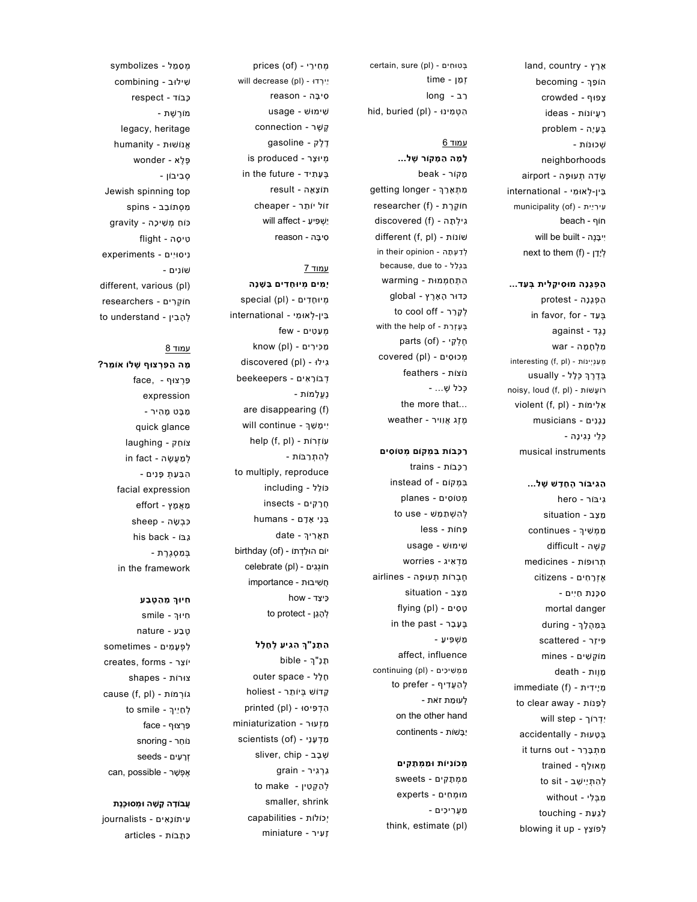land, country - ץ ֶר ָא הוֹפֵּךְ - becoming crowded - ף וּ פ ָצ ideas - ת וֹ נ ֲעיוֹ ַר problem - ה ָעיָ ְבּ - ת וֹ נ וּ כ ְשׁ neighborhoods airport - ה ָפ וּ ע ה ְת ֵד ְשׂ וּ ִמי - international א ֵבּין- ְל municipality (of) - ִעי ִריַית beach - ף וֹ ח will be built - ה ֶנ ִיי ָבּ next to them (f) - דןָ ְליָ

#### הַפְּגָנָה מוּסִיקָלִית בְּעַד...

 protest - ה נָ ָג ַה ְפ in favor, for - ד ַע ְבּ against - ד ֶג נֶ מִלְחָמָה - war interesting (f, pl) - ת וֹ ַע ְנ ְיינ ְמ בְדֶרֶךְ כְּלָל - usually noisy, loud (f, pl) - ת וֹ שׁ ֲע וֹ ר violent (f, pl) - ת וֹ ַא ִלימ musicians - ָג ִנים נַ ַכְּלֵי נִגִינָה musical instruments

### הגיבור החדש של...

 hero - ר וֹ ִגיבּ מַצָּב - situation ַמ ְמ ִשׁי˂ - continues ה - difficult ֶשׁ ָק תְרוּפוֹת - medicines ָר ִחים - citizens ֶא ְז ַפְנַת חַיִּים mortal danger בְּמַהֲלָךְ - during ר - scattered ִפּי ֵז וֹ ְק ִשׁים - mines מ ָמוֶות - death immediate (f) - מִיָידית to clear away - לְפַנּוֹת ּיִדְרוֹךְ - will step accidentally - בְּטָעוּת it turns out - ר ֵר ָבּ ִמ ְת trained - מְאוּלֶף לְהִתְיַישֵׁב - to sit ִמ ְבּ ִלי - without לגעת - touching blowing it up - ץ ֵצ וֹ פ ְל

certain, sure (pl) - בְּטוּחִים ַמן - time ְז רב - long hid, buried (pl) - וּ ִה ְט ִמינ

# <u>עמוד 6</u>

לָמָה הַמָּקוֹר שָׁל... beak - ר וֹ ק ָמ getting longer - ˂ ֵר ָא ִמ ְת researcher (f) - ת ֶר ֶק וֹ ח discovered (f) - ה ָת ִגי ְל different (f, pl) - שׁוֹנוֹת in their opinion - ה ָת ַד ְע ְל because, due to - ל ַל ִבּ ְג הִתְחַמְּמוּת - warming ץ - global ֶר ָא ר ָה וּ ד ַכּ to cool off - ר ֵר ָק ְל with the help of - ת ַר ֶע ְז ְבּ parts (of) - קיֵ ֶח ְל מְכוּסִים - (covered (pl נוֹצוֹת - feathers כְּכֹל שֶׁ... the more that... weather - מֶזֶג אֲוִויר

#### ֿרַכְּבוֹת בִּמְקוֹם מְטוֹסִים

 trains - ת וֹ ב ָכּ ַר instead of - ם וֹ ק ִבּ ְמ ים - planes וֹ ִס ט ְמ to use - שׁ ֵמ ַת ְל ִה ְשׁ ess - חות usage - שׁ וּ ִשׁימ worries - ַמ ְד ִאיג airlines - תֻעוּפָה situation - ב ָצ ַמ flying (pl) - ָט ִסים in the past - ר ָב ָע ֶבּ - ַמ ְשׁ ִפּי ַע affect, influence continuing (pl) - ַמ ְמ ִשׁי ִכים to prefer - לְהַעֲדִיף לְעוּמַת זֹאת on the other hand continents - ת וֹ שׁ ָבּ יַ

#### מְכוֹנִיוֹת וּמֵמְתָקִים

מֵמְתָקִים - sweets experts - וּ ְמ ִחים מ - ֲע ִרי ִכים ַמ think, estimate (pl)

מְחִירֵי - (prices (of will decrease (pl) - וּ ד יֵי ְר reason - ה ִסי ָבּ usage - שׁ וּ ִשׁימ ר - connection ֶשׁ ֶק gasoline - ק ֶל ֶד is produced - ר ָצ ְמיוּ in the future - ָע ִתיד ֶבּ result - ה ָא ָצ וֹ ת cheaper - ר ֵת ל יוֹ וֹ ז will affect - יַ ְשׁ ִפּי ַע reason - ה ִסי ָבּ

### עמוד 7

יָמִים מִיוּחָדִים בַּשָׁנָה special (pl) - ָח ִדים ְמיוּ וּ ִמי - international א ֵבּין- ְל few - ַע ִטים ְמ מֵכִּירִים - (know (pl discovered (pl) - וּ ִגיל beekeepers - ָר ִאים וֹ ב ְד נֶעֱלֶמוֹת are disappearing (f) will continue - ˂ ֵשׁ ִיי ָמ help (f, pl) - עוֹזְרוֹת לְהִתְרַבּוֹת to multiply, reproduce including - ל ֵל וֹ כּ ים - insects ָר ִק ֲח ם - humans ָד ֵני ָא ְבּ תַאֲרִיךְ - date יוֹם הוּלַדְתוֹ - (birthday (of celebrate (pl) - וֹ ְגִגים ח importance - ת וּ ֲח ִשׁיב how - כֵּיצַד to protect - גןֵ ָה ְל

### התנ"ר הגיע לחלל

תֶנֶ"ךְ - bible outer space - ל ָל ָח הֵדוֹשׁ בִּיוֹתֵר - holiest printed (pl) - וּ ִה ְד ִפּיס ר - miniaturization וּ ע ִמ ְז מַדְעָנֵי - (scientists (of sliver, chip - ב ָב ְשׁ ַגְר ִגיר - grain to make - לְהַקְטִין smaller, shrink ת - capabilities וֹ ל וֹ ְיכ ָז ִעיר - miniature

ב - combining וּ ִשׁיל וֹד - respect ב ָכּ מוֹרֶשֶׁת legacy, heritage humanity - אֱנוֹשׁוּת א - wonder ֶל ֶפּ וֹן - ְס ִביב Jewish spinning top מִסְתוֹבֵב - spins eiת מְשִׁיכָה - gravity ה - flight ִטי ָס וּ ִיים - experiments ִניס וֹ ִנים - שׁ different, various (pl) וֹ ְק ִרים - researchers ח to understand - לְהָבִין

ל - symbolizes ֵמ ַס ְמ

## עמוד 8

ְמָה הַפַּרְצוּף שֶׁלוֹ אוֹמֵר? face, - פּרְצױף expression ַמְבָּט מֶהִיר quick glance ק - laughing ֵח וֹ צ in fact - ה ֶשׂ ֲע ַמ ְל ֹהְבַּעַתְ פָּנִים facial expression effort - מַאֲמֶץ sheep - כִּבְשָׂה his back - וֹ בּ ַג בְּמִסְגֶרֶת in the framework

### חיור מהטבע

ּחִיוּךְ - smile nature - ע ַב ֶט ָע ִמים - sometimes ִל ְפ creates, forms - ר ֵצ יוֹ צוּרוֹת - shapes cause (f, pl) - ת וֹ מ וֹ ְר ג לְחַיֵיךְ - to smile face - ף וּ צ ַפְּר snoring - ר ֵח וֹ נ seeds - זְרָעִים can, possible - אֶפְשָׁר

### ְעֲבוֹדָה קָשָׁה וּמְסוּכֶנֶת

נָ ִאים - journalists וֹ ִעית  $\alpha$ תְּבוֹת - articles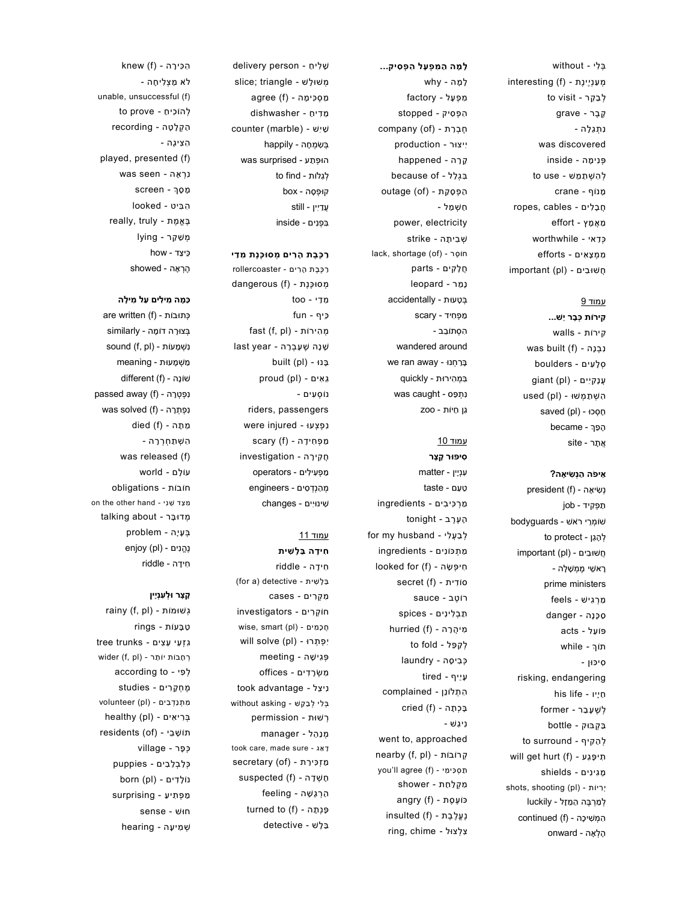ְבּ ִלי - without interesting (f) - מְעַנְיֵינֶת to visit - לְבָקֵר ֶק ֶבר - grave נתגלה was discovered ְפּ ִני ָמה - inside לְהִשְׁתַמֵּשׁ - to use ָמנוֹף - crane ֲח ָב ִלים - cables ,ropes ַמ ֲא ָמץ - effort ְכּ ַדאי - worthwhile ִמ ְמ ָצ ִאים - efforts ֲחשׁוּ ִבים - (pl (important

### עמוד 9

ִקירוֹת ְכּ ָבר ֵישׁ... ִקירוֹת - walls  $was$  built (f) - נְבָנָה ְס ָל ִעים - boulders ינקיים - (qiant (pl ִה ְשׁ ַת ְמשׁוּ - (pl (used הַסְכוּ - (saved (pl הַפַּךְ - became ֲא ָתר - site

#### ֵאי ֹפה ַה ְנ ִשׂי ָאה?

president (f) - נְשִׂיאָה ַת ְפ ִקיד - job שׁוֹ ְמֵרי רֹאשׁ - bodyguards to protect - לְהָגֵן important (pl) - חֲשׁוּ בִים ָראשִׁי מֵמְשָׁלָה prime ministers ַמ ְר ִגישׁ - feels ַס ָכּ ָנה - danger פּוֹ ֵעל - acts תוֹ˂ - while ִסיכּוּן risking, endangering his life - חֵיִיו ְל ֶשׁ ָע ַבר - former ַבּ ְקבּוּק - bottle to surround - לְהַקִּיף will get hurt (f) - געַ פָּ תיִ ָמ ִגי ִנים - shields shots, shooting (pl) - ריוֹתִ יְ ְל ַמְר ֶבּה ַה ַמָזל - luckily ִה ְמ ִשׁי ָכה - (f (continued ָה ְל ָאה - onward

ָל ָמה ַה ִמ ְפ ָעל ִה ְפ ִסיק... ָל ָמה - why ִמ ְפ ָעל - factory ִה ְפ ִסיק - stopped company (of) - חֲבָרַת ִייצוּר - production ָק ָרה - happened  $beca$ use of - בִּגְלַל ַה ְפ ָס ַקת - (of (outage ַח ְשׁ ַמל power, electricity ְשׁ ִבי ָתה - strike lack, shortage (of) - חוֹסר ֲח ָל ִקים - parts נְמֵר - leopard ְבּ ָטעוּת - accidentally ַמ ְפ ִחיד - scary ִה ְסתוֹ ֵבב wandered around ָבַּר ְחנוּ - away ran we

ִבּ ְמ ִהירוּת - quickly ִנ ְת ַפּס - caught was ַגן ַחיוֹת - zoo

### עמוד 10

ִסיפּוּר ָק ָצר ִע ְניָין - matter ַט ַעם - taste ַמ ְר ִכּי ִבים - ingredients ָה ֶע ֶרב - tonight for my husband - לְבָעֵלִי ַמ ְתכּוֹ ִנים - ingredients nֵיפִּשָּׂה - (Iooked for (f secret (f) - סוֹדִית רוֹ ֶטב - sauce ַת ְב ִלי ִנים - spices מיהְרָה - (hurried (f to fold - לַקַפֵּל ְכּ ִבי ָסה - laundry ָעיֵיף - tired ִה ְתלוֹ ֵנן - complained  $c$ ried (f) - בְּכְתָה ִני ַגשׁ went to, approached nearby (f, pl) - קרוֹבוֹתְ ַת ְס ִכּי ִמי - (f (agree ll'you ִמ ְק ַל ַחת - shower angry (f) - פוֹעסת נִעֲלֶבֶת - (f) insulted ring, chime - צְלְצוּל

ָשׁ ִלי ַח - person delivery slice; triangle - משוּלָשׁ מ o ?ימה - (f) ֵמ ִדי ַח - dishwasher ַשׁ ִישׁ - (marble (counter ְבּ ִשׂ ְמ ָחה - happily הוּפתע - was surprised לְגַלוֹת - to find קוּפְסָה - box ֲעַדִיין - still ִבּ ְפ ִנים - inside

### ַרְכָבֶת הָרִים מְסוּכֶּנֶת מִדִי

ַר ֶכּ ֶבת ָה ִרים - rollercoaster ְמסוּ ֶכּ ֶנת - (f (dangerous ִמ ַדי - too ֵכּיף - fun fast (f, pl) - הירוֹתִ מְ last year - שֶׁנָה שֵׁעָבְרָה built (pl) - בּנוָּ proud (pl) - גאים נוֹ ְס ִעים riders, passengers נפצעוּ - were injured מפחידה - (f) scary ֲח ִקי ָרה - investigation ַמ ְפ ִעי ִלים - operators ְמ ַה ְנְד ִסים - engineers ִשׁינוִּיים - changes

### עמוד 11

ִחי ָדה ַבּ ָל ִשׁית ִחי ָדה - riddle ַבּ ָל ִשׁית - detective) a for( ִמ ְק ִרים - cases חוֹ ְק ִרים - investigators ֹחֲכָמִים - (wise, smart (pl ִי ְפ ְתרוּ - (pl (solve will ְפּ ִגי ָשׁה - meeting ִמ ְשָׂר ִדים - offices took advantage - ניצַל ְבּ ִלי ְל ַב ֵקשׁ - asking without ְרשׁוּת - permission manager - מְנַהֵל took care, made sure - אגַ דָ מַזְכִּירַת - (of) suspected (f) - סְשָׁדָה ַה ְר ָג ָשׁה - feeling turned to (f) - פְנְתָה ַבּ ָלשׁ - detective

ה ּכִּי רָה - (knew (f לֹא מצליחה unable, unsuccessful (f) לְהוֹכִיחַ - to prove ַה ְק ָל ָטה - recording ִה ִצי ָגה played, presented (f) ִנ ְר ָאה - seen was מּ oֵה - screen ִה ִבּיט - looked  $really,$  truly - בֵאֱמֶת ְמ ַשׁ ֵקר - lying ֵכּי ַצד - how ֶהְר ָאה - showed

### ַכְּמָה מִילִים עַל מִילָה

 are written (f) - כּתוּבוֹתְ ְבּצוָּרה דוֹ ָמה - similarly sound (f, pl) - נִשְׁמָעוֹת ַמ ְשׁ ָמעוּת - meaning שׁוֹנָה - (different (f passed away (f) - נְפָטָרָה  $was$  solved (f) - נְפְתְרָה מתה - (died (f ִה ְשׁ ַת ְח ְר ָרה was released (f) עוֹ ָלם - world חוֹבוֹת - obligations on the other hand - מִצַד שֵׁנִי ְמדוּ ָבּר - about talking ְבּ ָעיָה - problem enjoy (pl) - נהנים ִחיָדה - riddle

### ָק ָצר וּ ְל ִע ְנָיין

rainy (f, pl) - גְשׁוּמוֹת ַט ָבּעוֹת - rings tree trunks - גִזְעֵי עֵצִים רְחָבוֹת יוֹתֵר - (wider (f, pl according to - לְפִי ֶמ ְח ָק ִרים - studies ִמ ְתנַ ְד ִבים - (pl (volunteer healthy (pl) - בְּרִיאִים residents (of) - תּוֹשָׁבֵי ְכּ ָפר - village ְכּ ַל ְב ַל ִבים - puppies נוֹלְדים - (born (pl ַמ ְפ ִתי ַע - surprising חוּשׁ - sense hearing - שְׁמִיעָה